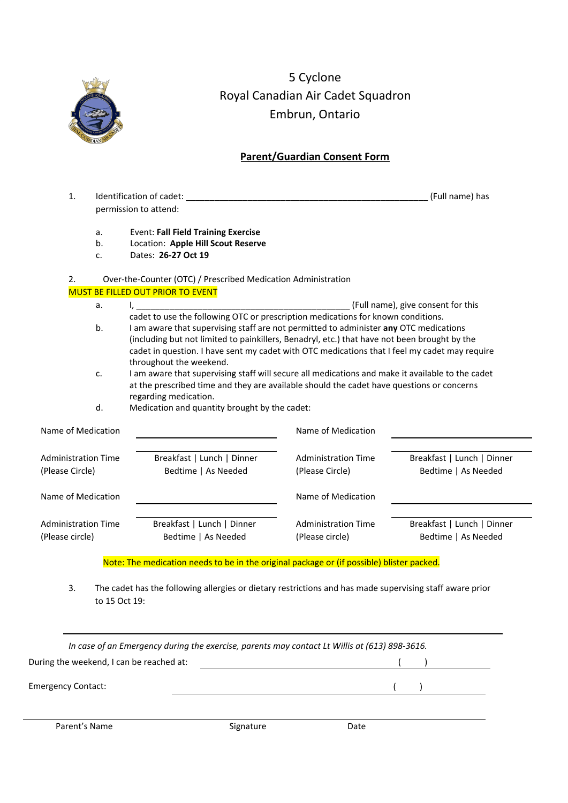

5 Cyclone Royal Canadian Air Cadet Squadron Embrun, Ontario

# **Parent/Guardian Consent Form**

| $\mathbf{1}$ .                                      |                                                                                                        | Identification of cadet:                                                                                                                                                              |                            | (Full name) has            |  |  |
|-----------------------------------------------------|--------------------------------------------------------------------------------------------------------|---------------------------------------------------------------------------------------------------------------------------------------------------------------------------------------|----------------------------|----------------------------|--|--|
|                                                     | permission to attend:                                                                                  |                                                                                                                                                                                       |                            |                            |  |  |
|                                                     | a.                                                                                                     | <b>Event: Fall Field Training Exercise</b>                                                                                                                                            |                            |                            |  |  |
|                                                     | b.                                                                                                     | Location: Apple Hill Scout Reserve                                                                                                                                                    |                            |                            |  |  |
|                                                     | c.                                                                                                     | Dates: 26-27 Oct 19                                                                                                                                                                   |                            |                            |  |  |
| 2.                                                  |                                                                                                        | Over-the-Counter (OTC) / Prescribed Medication Administration                                                                                                                         |                            |                            |  |  |
|                                                     |                                                                                                        | <b>MUST BE FILLED OUT PRIOR TO EVENT</b>                                                                                                                                              |                            |                            |  |  |
|                                                     | a.                                                                                                     | (Full name), give consent for this<br><u>l, _____________________</u>                                                                                                                 |                            |                            |  |  |
|                                                     |                                                                                                        | cadet to use the following OTC or prescription medications for known conditions.                                                                                                      |                            |                            |  |  |
|                                                     | b.                                                                                                     | I am aware that supervising staff are not permitted to administer any OTC medications<br>(including but not limited to painkillers, Benadryl, etc.) that have not been brought by the |                            |                            |  |  |
|                                                     |                                                                                                        |                                                                                                                                                                                       |                            |                            |  |  |
|                                                     |                                                                                                        | cadet in question. I have sent my cadet with OTC medications that I feel my cadet may require<br>throughout the weekend.                                                              |                            |                            |  |  |
|                                                     | I am aware that supervising staff will secure all medications and make it available to the cadet<br>c. |                                                                                                                                                                                       |                            |                            |  |  |
|                                                     |                                                                                                        | at the prescribed time and they are available should the cadet have questions or concerns                                                                                             |                            |                            |  |  |
|                                                     |                                                                                                        | regarding medication.                                                                                                                                                                 |                            |                            |  |  |
| Medication and quantity brought by the cadet:<br>d. |                                                                                                        |                                                                                                                                                                                       |                            |                            |  |  |
| Name of Medication                                  |                                                                                                        |                                                                                                                                                                                       | Name of Medication         |                            |  |  |
|                                                     |                                                                                                        |                                                                                                                                                                                       |                            |                            |  |  |
| <b>Administration Time</b>                          |                                                                                                        | Breakfast   Lunch   Dinner                                                                                                                                                            | <b>Administration Time</b> | Breakfast   Lunch   Dinner |  |  |
| (Please Circle)                                     |                                                                                                        | Bedtime   As Needed                                                                                                                                                                   | (Please Circle)            | Bedtime   As Needed        |  |  |
| Name of Medication                                  |                                                                                                        |                                                                                                                                                                                       | Name of Medication         |                            |  |  |
|                                                     |                                                                                                        |                                                                                                                                                                                       |                            |                            |  |  |
| <b>Administration Time</b><br>(Please circle)       |                                                                                                        | Breakfast   Lunch   Dinner                                                                                                                                                            | <b>Administration Time</b> | Breakfast   Lunch   Dinner |  |  |
|                                                     |                                                                                                        | Bedtime   As Needed                                                                                                                                                                   | (Please circle)            | Bedtime   As Needed        |  |  |
|                                                     |                                                                                                        | Note: The medication needs to be in the original package or (if possible) blister packed.                                                                                             |                            |                            |  |  |
|                                                     |                                                                                                        |                                                                                                                                                                                       |                            |                            |  |  |

3. The cadet has the following allergies or dietary restrictions and has made supervising staff aware prior to 15 Oct 19:

| In case of an Emergency during the exercise, parents may contact Lt Willis at (613) 898-3616. |           |      |  |  |  |
|-----------------------------------------------------------------------------------------------|-----------|------|--|--|--|
| During the weekend, I can be reached at:                                                      |           |      |  |  |  |
| <b>Emergency Contact:</b>                                                                     |           |      |  |  |  |
| Parent's Name                                                                                 | Signature | Date |  |  |  |